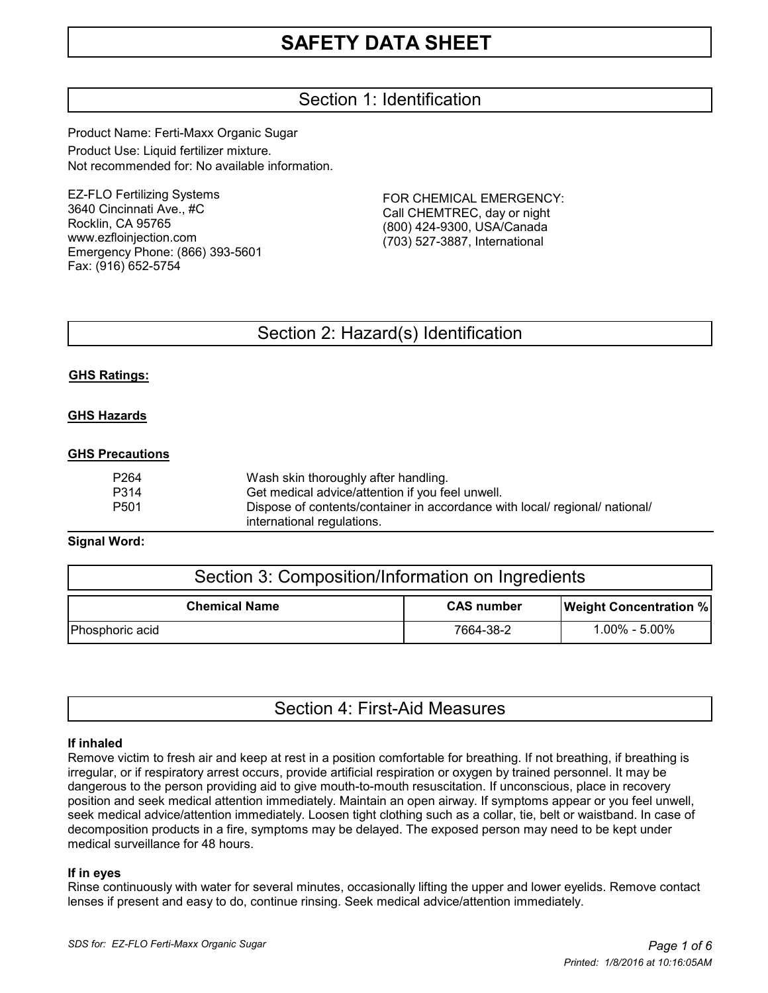## Section 1: Identification

Product Name: Ferti-Maxx Organic Sugar Product Use: Liquid fertilizer mixture. Not recommended for: No available information.

EZ-FLO Fertilizing Systems 3640 Cincinnati Ave., #C Rocklin, CA 95765 www.ezfloinjection.com Emergency Phone: (866) 393-5601 Fax: (916) 652-5754

FOR CHEMICAL EMERGENCY: Call CHEMTREC, day or night (800) 424-9300, USA/Canada (703) 527-3887, International

## Section 2: Hazard(s) Identification

#### **GHS Ratings:**

#### **GHS Hazards**

#### **GHS Precautions**

| P264 | Wash skin thoroughly after handling.                                        |
|------|-----------------------------------------------------------------------------|
| P314 | Get medical advice/attention if you feel unwell.                            |
| P501 | Dispose of contents/container in accordance with local/ regional/ national/ |
|      | international regulations.                                                  |

#### **Signal Word:**

| Section 3: Composition/Information on Ingredients |                   |                               |  |  |
|---------------------------------------------------|-------------------|-------------------------------|--|--|
| <b>Chemical Name</b>                              | <b>CAS number</b> | <b>Weight Concentration %</b> |  |  |
| Phosphoric acid                                   | 7664-38-2         | $1.00\% - 5.00\%$             |  |  |

|  |  | Section 4: First-Aid Measures |
|--|--|-------------------------------|
|--|--|-------------------------------|

#### **If inhaled**

Remove victim to fresh air and keep at rest in a position comfortable for breathing. If not breathing, if breathing is irregular, or if respiratory arrest occurs, provide artificial respiration or oxygen by trained personnel. It may be dangerous to the person providing aid to give mouth-to-mouth resuscitation. If unconscious, place in recovery position and seek medical attention immediately. Maintain an open airway. If symptoms appear or you feel unwell, seek medical advice/attention immediately. Loosen tight clothing such as a collar, tie, belt or waistband. In case of decomposition products in a fire, symptoms may be delayed. The exposed person may need to be kept under medical surveillance for 48 hours.

#### **If in eyes**

Rinse continuously with water for several minutes, occasionally lifting the upper and lower eyelids. Remove contact lenses if present and easy to do, continue rinsing. Seek medical advice/attention immediately.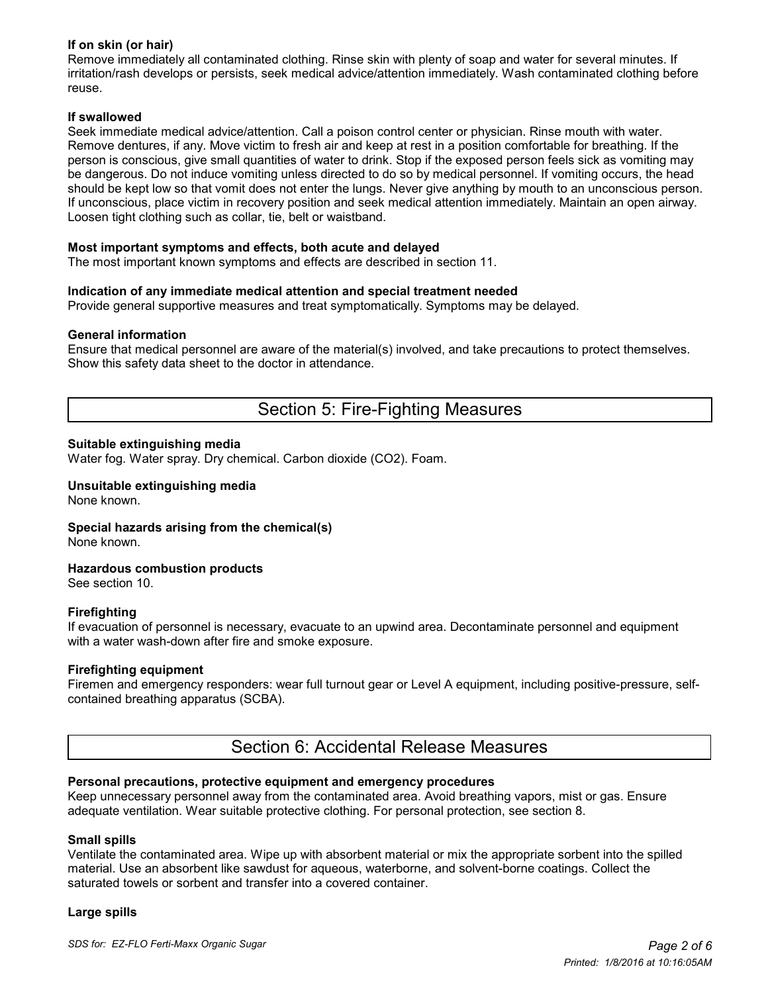## **If on skin (or hair)**

Remove immediately all contaminated clothing. Rinse skin with plenty of soap and water for several minutes. If irritation/rash develops or persists, seek medical advice/attention immediately. Wash contaminated clothing before reuse.

#### **If swallowed**

Seek immediate medical advice/attention. Call a poison control center or physician. Rinse mouth with water. Remove dentures, if any. Move victim to fresh air and keep at rest in a position comfortable for breathing. If the person is conscious, give small quantities of water to drink. Stop if the exposed person feels sick as vomiting may be dangerous. Do not induce vomiting unless directed to do so by medical personnel. If vomiting occurs, the head should be kept low so that vomit does not enter the lungs. Never give anything by mouth to an unconscious person. If unconscious, place victim in recovery position and seek medical attention immediately. Maintain an open airway. Loosen tight clothing such as collar, tie, belt or waistband.

#### **Most important symptoms and effects, both acute and delayed**

The most important known symptoms and effects are described in section 11.

#### **Indication of any immediate medical attention and special treatment needed**

Provide general supportive measures and treat symptomatically. Symptoms may be delayed.

#### **General information**

Ensure that medical personnel are aware of the material(s) involved, and take precautions to protect themselves. Show this safety data sheet to the doctor in attendance.

## Section 5: Fire-Fighting Measures

#### **Suitable extinguishing media**

Water fog. Water spray. Dry chemical. Carbon dioxide (CO2). Foam.

#### **Unsuitable extinguishing media** None known.

**Special hazards arising from the chemical(s)**

None known.

#### **Hazardous combustion products**

See section 10.

#### **Firefighting**

If evacuation of personnel is necessary, evacuate to an upwind area. Decontaminate personnel and equipment with a water wash-down after fire and smoke exposure.

#### **Firefighting equipment**

Firemen and emergency responders: wear full turnout gear or Level A equipment, including positive-pressure, selfcontained breathing apparatus (SCBA).

## Section 6: Accidental Release Measures

#### **Personal precautions, protective equipment and emergency procedures**

Keep unnecessary personnel away from the contaminated area. Avoid breathing vapors, mist or gas. Ensure adequate ventilation. Wear suitable protective clothing. For personal protection, see section 8.

#### **Small spills**

Ventilate the contaminated area. Wipe up with absorbent material or mix the appropriate sorbent into the spilled material. Use an absorbent like sawdust for aqueous, waterborne, and solvent-borne coatings. Collect the saturated towels or sorbent and transfer into a covered container.

#### **Large spills**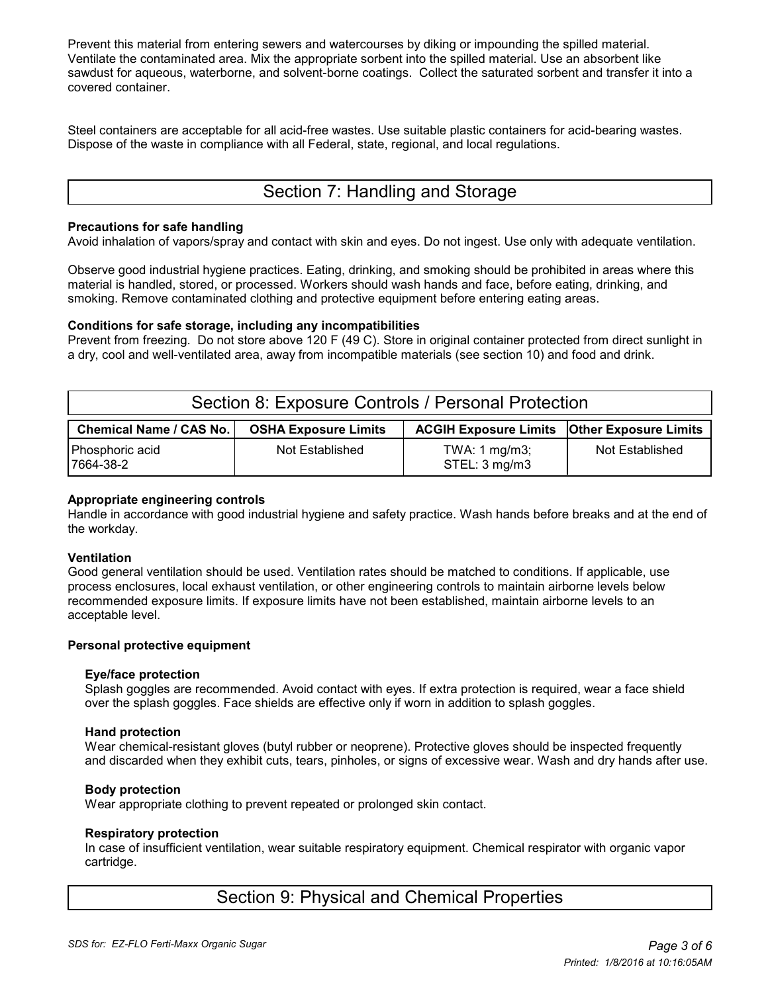Prevent this material from entering sewers and watercourses by diking or impounding the spilled material. Ventilate the contaminated area. Mix the appropriate sorbent into the spilled material. Use an absorbent like sawdust for aqueous, waterborne, and solvent-borne coatings. Collect the saturated sorbent and transfer it into a covered container.

Steel containers are acceptable for all acid-free wastes. Use suitable plastic containers for acid-bearing wastes. Dispose of the waste in compliance with all Federal, state, regional, and local regulations.

# Section 7: Handling and Storage

#### **Precautions for safe handling**

Avoid inhalation of vapors/spray and contact with skin and eyes. Do not ingest. Use only with adequate ventilation.

Observe good industrial hygiene practices. Eating, drinking, and smoking should be prohibited in areas where this material is handled, stored, or processed. Workers should wash hands and face, before eating, drinking, and smoking. Remove contaminated clothing and protective equipment before entering eating areas.

#### **Conditions for safe storage, including any incompatibilities**

Prevent from freezing. Do not store above 120 F (49 C). Store in original container protected from direct sunlight in a dry, cool and well-ventilated area, away from incompatible materials (see section 10) and food and drink.

| Section 8: Exposure Controls / Personal Protection |                             |                                                      |                 |  |  |  |
|----------------------------------------------------|-----------------------------|------------------------------------------------------|-----------------|--|--|--|
| <b>Chemical Name / CAS No.</b>                     | <b>OSHA Exposure Limits</b> | <b>ACGIH Exposure Limits   Other Exposure Limits</b> |                 |  |  |  |
| Phosphoric acid<br>7664-38-2                       | Not Established             | TWA: 1 mg/m3;<br>STEL: 3 mg/m3                       | Not Established |  |  |  |

#### **Appropriate engineering controls**

Handle in accordance with good industrial hygiene and safety practice. Wash hands before breaks and at the end of the workday.

#### **Ventilation**

Good general ventilation should be used. Ventilation rates should be matched to conditions. If applicable, use process enclosures, local exhaust ventilation, or other engineering controls to maintain airborne levels below recommended exposure limits. If exposure limits have not been established, maintain airborne levels to an acceptable level.

#### **Personal protective equipment**

#### **Eye/face protection**

 Splash goggles are recommended. Avoid contact with eyes. If extra protection is required, wear a face shield over the splash goggles. Face shields are effective only if worn in addition to splash goggles.

#### **Hand protection**

 Wear chemical-resistant gloves (butyl rubber or neoprene). Protective gloves should be inspected frequently and discarded when they exhibit cuts, tears, pinholes, or signs of excessive wear. Wash and dry hands after use.

#### **Body protection**

Wear appropriate clothing to prevent repeated or prolonged skin contact.

#### **Respiratory protection**

 In case of insufficient ventilation, wear suitable respiratory equipment. Chemical respirator with organic vapor cartridge.

## Section 9: Physical and Chemical Properties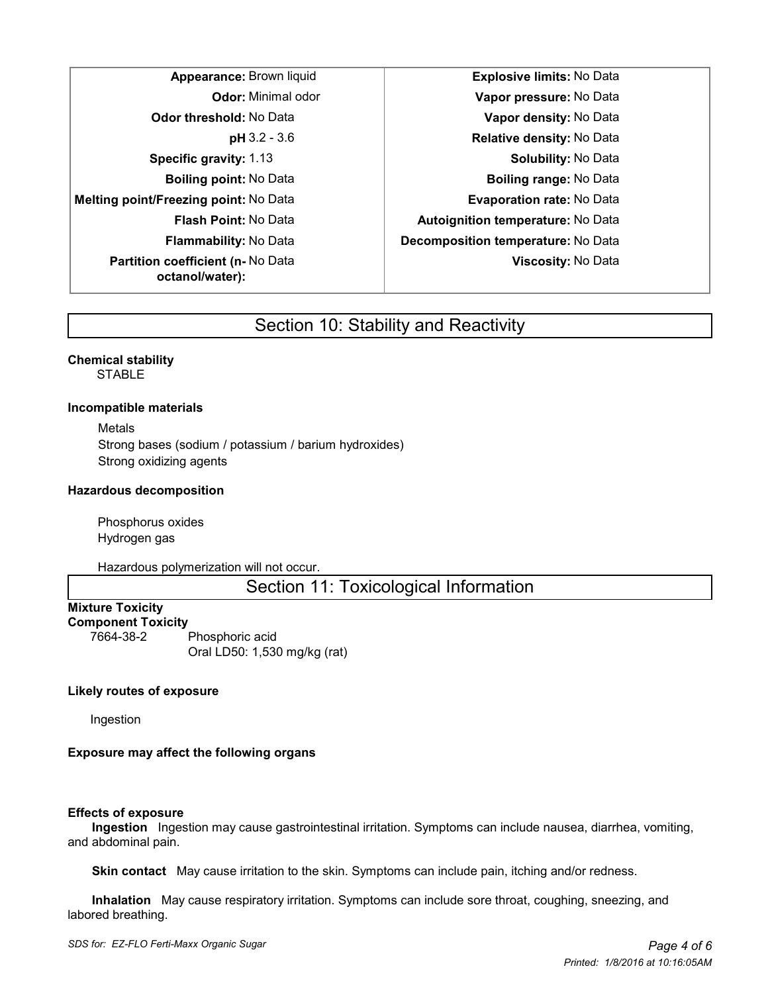**Melting point/Freezing point:** No Data **Evaporation rate:** No Data **Partition coefficient (n-** No Data **octanol/water):**

**Appearance:** Brown liquid **Explosive limits:** No Data **Odor:** Minimal odor **Vapor pressure:** No Data **Odor threshold:** No Data **Vapor density:** No Data **pH** 3.2 - 3.6 **Relative density:** No Data **Specific gravity:** 1.13 **Specific gravity:** 1.13 **Solubility:** No Data **Boiling point:** No Data **Boiling range:** No Data **Flash Point:** No Data **Autoignition temperature:** No Data **Flammability:** No Data **Decomposition temperature:** No Data **Viscosity:** No Data

## Section 10: Stability and Reactivity

**Chemical stability STABLE** 

#### **Incompatible materials**

Metals Strong bases (sodium / potassium / barium hydroxides) Strong oxidizing agents

#### **Hazardous decomposition**

Phosphorus oxides Hydrogen gas

Hazardous polymerization will not occur.

Section 11: Toxicological Information

#### **Mixture Toxicity Component Toxicity**

7664-38-2 Phosphoric acid Oral LD50: 1,530 mg/kg (rat)

## **Likely routes of exposure**

Ingestion

## **Exposure may affect the following organs**

#### **Effects of exposure**

 **Ingestion** Ingestion may cause gastrointestinal irritation. Symptoms can include nausea, diarrhea, vomiting, and abdominal pain.

 **Skin contact** May cause irritation to the skin. Symptoms can include pain, itching and/or redness.

 **Inhalation** May cause respiratory irritation. Symptoms can include sore throat, coughing, sneezing, and labored breathing.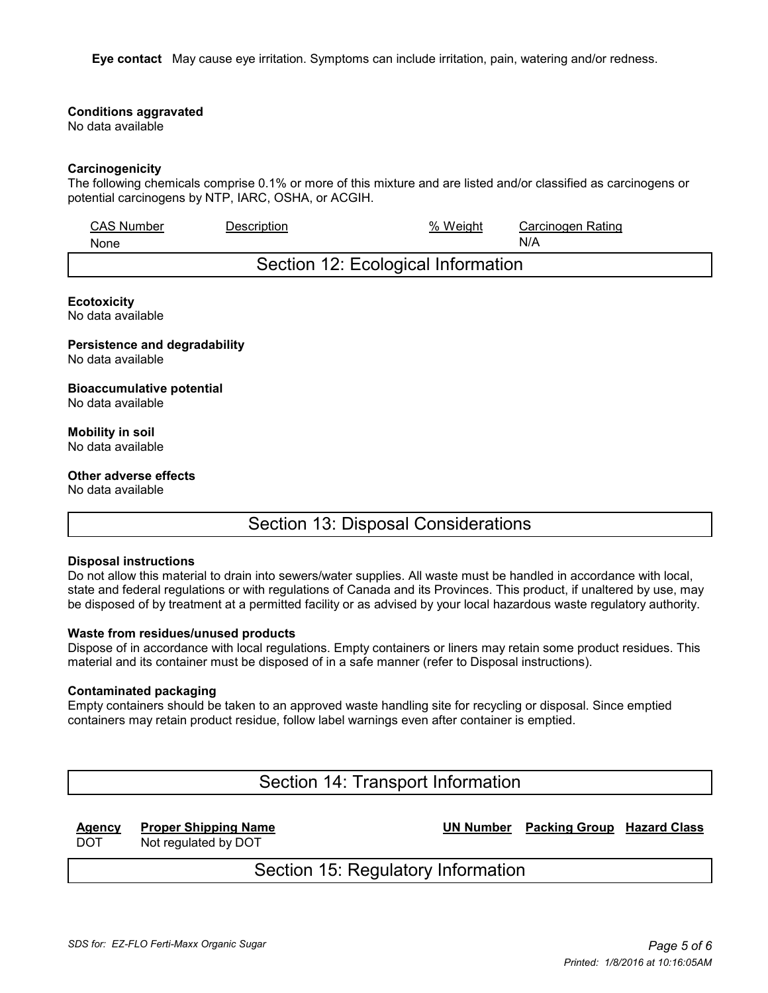**Eye contact** May cause eye irritation. Symptoms can include irritation, pain, watering and/or redness.

#### **Conditions aggravated**

No data available

#### **Carcinogenicity**

The following chemicals comprise 0.1% or more of this mixture and are listed and/or classified as carcinogens or potential carcinogens by NTP, IARC, OSHA, or ACGIH.

| <b>CAS Number</b> | Description | % Weight                           | Carcinogen Rating |
|-------------------|-------------|------------------------------------|-------------------|
| <b>None</b>       |             |                                    | N/A               |
|                   |             | Section 12: Ecological Information |                   |

#### **Ecotoxicity**

No data available

#### **Persistence and degradability**

No data available

#### **Bioaccumulative potential**

No data available

#### **Mobility in soil** No data available

## **Other adverse effects**

No data available

## Section 13: Disposal Considerations

#### **Disposal instructions**

Do not allow this material to drain into sewers/water supplies. All waste must be handled in accordance with local, state and federal regulations or with regulations of Canada and its Provinces. This product, if unaltered by use, may be disposed of by treatment at a permitted facility or as advised by your local hazardous waste regulatory authority.

#### **Waste from residues/unused products**

Dispose of in accordance with local regulations. Empty containers or liners may retain some product residues. This material and its container must be disposed of in a safe manner (refer to Disposal instructions).

#### **Contaminated packaging**

Empty containers should be taken to an approved waste handling site for recycling or disposal. Since emptied containers may retain product residue, follow label warnings even after container is emptied.

Section 14: Transport Information

**Agency Proper Shipping Name UN Number Packing Group Hazard Class**

DOT Not regulated by DOT

# Section 15: Regulatory Information